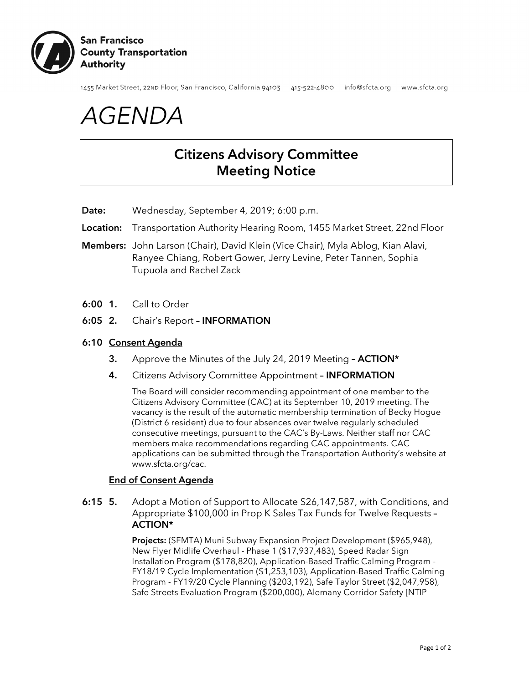

1455 Market Street, 22nD Floor, San Francisco, California 94103 415-522-4800 info@sfcta.org www.sfcta.org

# *AGENDA*

# Citizens Advisory Committee Meeting Notice

Date: Wednesday, September 4, 2019; 6:00 p.m.

- Location: Transportation Authority Hearing Room, 1455 Market Street, 22nd Floor
- Members: John Larson (Chair), David Klein (Vice Chair), Myla Ablog, Kian Alavi, Ranyee Chiang, Robert Gower, Jerry Levine, Peter Tannen, Sophia Tupuola and Rachel Zack
- 6:00 1. Call to Order
- 6:05 2. Chair's Report INFORMATION

#### 6:10 Consent Agenda

- 3. Approve the Minutes of the July 24, 2019 Meeting ACTION\*
- 4. Citizens Advisory Committee Appointment INFORMATION

The Board will consider recommending appointment of one member to the Citizens Advisory Committee (CAC) at its September 10, 2019 meeting. The vacancy is the result of the automatic membership termination of Becky Hogue (District 6 resident) due to four absences over twelve regularly scheduled consecutive meetings, pursuant to the CAC's By-Laws. Neither staff nor CAC members make recommendations regarding CAC appointments. CAC applications can be submitted through the Transportation Authority's website at www.sfcta.org/cac.

## End of Consent Agenda

6:15 5. Adopt a Motion of Support to Allocate \$26,147,587, with Conditions, and Appropriate \$100,000 in Prop K Sales Tax Funds for Twelve Requests – ACTION\*

> Projects: (SFMTA) Muni Subway Expansion Project Development (\$965,948), New Flyer Midlife Overhaul - Phase 1 (\$17,937,483), Speed Radar Sign Installation Program (\$178,820), Application-Based Traffic Calming Program - FY18/19 Cycle Implementation (\$1,253,103), Application-Based Traffic Calming Program - FY19/20 Cycle Planning (\$203,192), Safe Taylor Street (\$2,047,958), Safe Streets Evaluation Program (\$200,000), Alemany Corridor Safety [NTIP